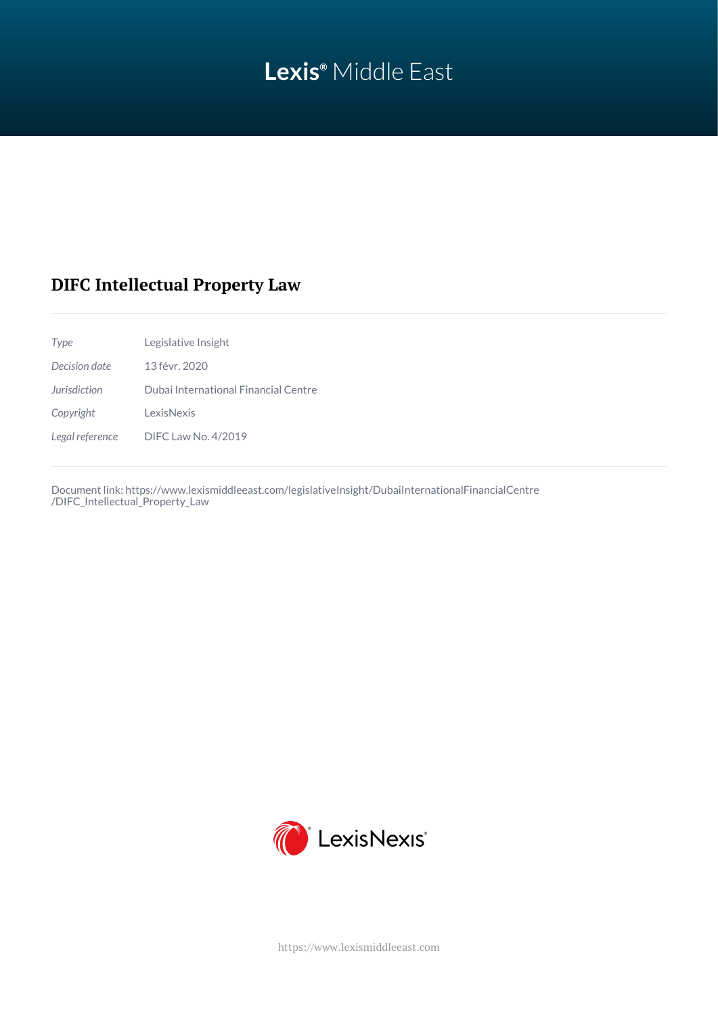# **Lexis®** Middle East

# **DIFC Intellectual Property Law**

| Legislative Insight                  |
|--------------------------------------|
| 13 févr. 2020                        |
| Dubai International Financial Centre |
| LexisNexis                           |
| <b>DIFC Law No. 4/2019</b>           |
|                                      |

Document link: [https://www.lexismiddleeast.com/legislativeInsight/DubaiInternationalFinancialCentre](https://www.lexismiddleeast.com/legislativeInsight/DubaiInternationalFinancialCentre/DIFC_Intellectual_Property_Law) [/DIFC\\_Intellectual\\_Property\\_Law](https://www.lexismiddleeast.com/legislativeInsight/DubaiInternationalFinancialCentre/DIFC_Intellectual_Property_Law)



<https://www.lexismiddleeast.com>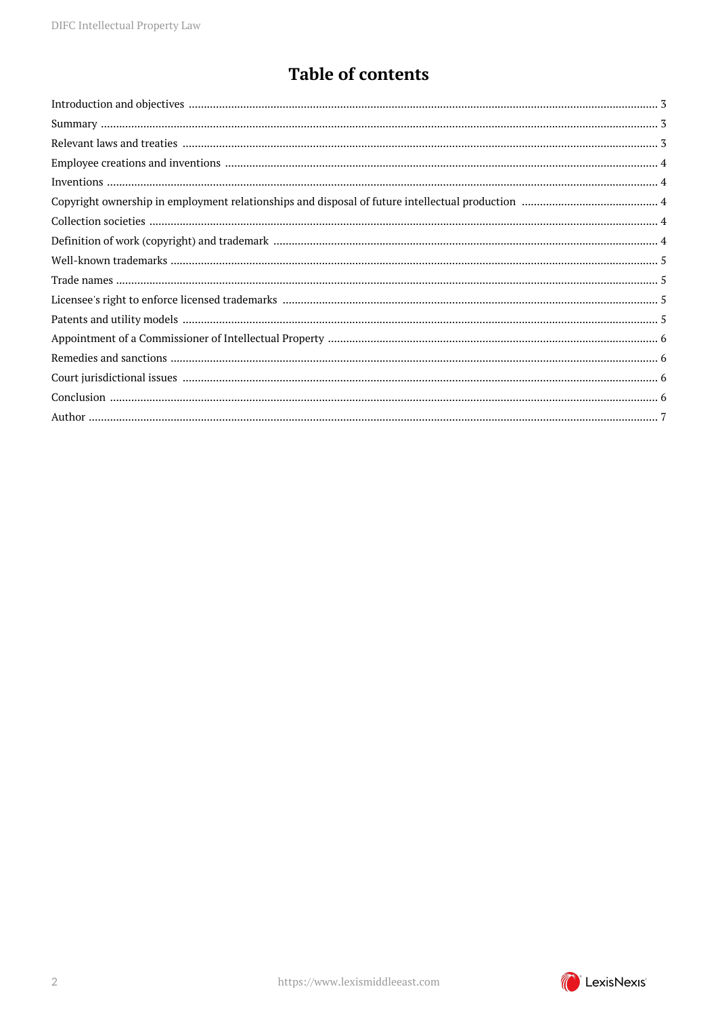# **Table of contents**

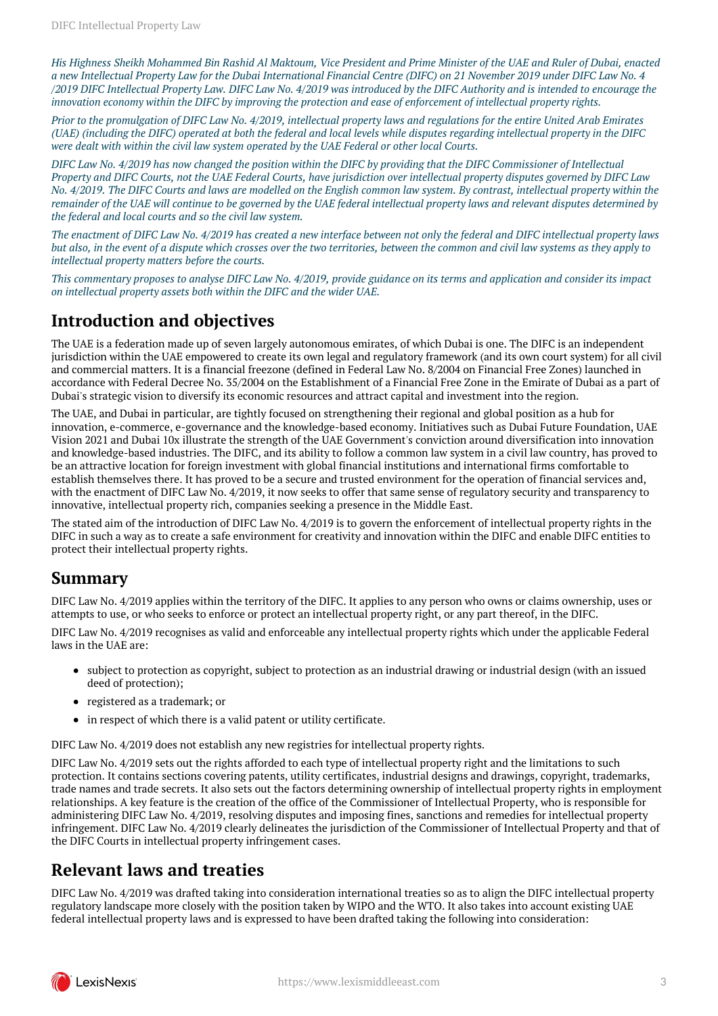*His Highness Sheikh Mohammed Bin Rashid Al Maktoum, Vice President and Prime Minister of the UAE and Ruler of Dubai, enacted a new Intellectual Property Law for the Dubai International Financial Centre (DIFC) on 21 November 2019 under DIFC Law No. 4 /2019 DIFC Intellectual Property Law. DIFC Law No. 4/2019 was introduced by the DIFC Authority and is intended to encourage the innovation economy within the DIFC by improving the protection and ease of enforcement of intellectual property rights.*

*Prior to the promulgation of DIFC Law No. 4/2019, intellectual property laws and regulations for the entire United Arab Emirates (UAE) (including the DIFC) operated at both the federal and local levels while disputes regarding intellectual property in the DIFC were dealt with within the civil law system operated by the UAE Federal or other local Courts.*

*DIFC Law No. 4/2019 has now changed the position within the DIFC by providing that the DIFC Commissioner of Intellectual Property and DIFC Courts, not the UAE Federal Courts, have jurisdiction over intellectual property disputes governed by DIFC Law No. 4/2019. The DIFC Courts and laws are modelled on the English common law system. By contrast, intellectual property within the remainder of the UAE will continue to be governed by the UAE federal intellectual property laws and relevant disputes determined by the federal and local courts and so the civil law system.*

*The enactment of DIFC Law No. 4/2019 has created a new interface between not only the federal and DIFC intellectual property laws but also, in the event of a dispute which crosses over the two territories, between the common and civil law systems as they apply to intellectual property matters before the courts.*

*This commentary proposes to analyse DIFC Law No. 4/2019, provide guidance on its terms and application and consider its impact on intellectual property assets both within the DIFC and the wider UAE.*

# <span id="page-2-0"></span>**Introduction and objectives**

The UAE is a federation made up of seven largely autonomous emirates, of which Dubai is one. The DIFC is an independent jurisdiction within the UAE empowered to create its own legal and regulatory framework (and its own court system) for all civil and commercial matters. It is a financial freezone (defined in Federal Law No. 8/2004 on Financial Free Zones) launched in accordance with Federal Decree No. 35/2004 on the Establishment of a Financial Free Zone in the Emirate of Dubai as a part of Dubai's strategic vision to diversify its economic resources and attract capital and investment into the region.

The UAE, and Dubai in particular, are tightly focused on strengthening their regional and global position as a hub for innovation, e-commerce, e-governance and the knowledge-based economy. Initiatives such as Dubai Future Foundation, UAE Vision 2021 and Dubai 10x illustrate the strength of the UAE Government's conviction around diversification into innovation and knowledge-based industries. The DIFC, and its ability to follow a common law system in a civil law country, has proved to be an attractive location for foreign investment with global financial institutions and international firms comfortable to establish themselves there. It has proved to be a secure and trusted environment for the operation of financial services and, with the enactment of DIFC Law No.  $4/2019$ , it now seeks to offer that same sense of regulatory security and transparency to innovative, intellectual property rich, companies seeking a presence in the Middle East.

The stated aim of the introduction of DIFC Law No. 4/2019 is to govern the enforcement of intellectual property rights in the DIFC in such a way as to create a safe environment for creativity and innovation within the DIFC and enable DIFC entities to protect their intellectual property rights.

#### <span id="page-2-1"></span>**Summary**

DIFC Law No. 4/2019 applies within the territory of the DIFC. It applies to any person who owns or claims ownership, uses or attempts to use, or who seeks to enforce or protect an intellectual property right, or any part thereof, in the DIFC.

DIFC Law No. 4/2019 recognises as valid and enforceable any intellectual property rights which under the applicable Federal laws in the UAE are:

- subject to protection as copyright, subject to protection as an industrial drawing or industrial design (with an issued deed of protection);
- registered as a trademark; or
- in respect of which there is a valid patent or utility certificate.

DIFC Law No. 4/2019 does not establish any new registries for intellectual property rights.

DIFC Law No. 4/2019 sets out the rights afforded to each type of intellectual property right and the limitations to such protection. It contains sections covering patents, utility certificates, industrial designs and drawings, copyright, trademarks, trade names and trade secrets. It also sets out the factors determining ownership of intellectual property rights in employment relationships. A key feature is the creation of the office of the Commissioner of Intellectual Property, who is responsible for administering DIFC Law No. 4/2019, resolving disputes and imposing fines, sanctions and remedies for intellectual property infringement. DIFC Law No. 4/2019 clearly delineates the jurisdiction of the Commissioner of Intellectual Property and that of the DIFC Courts in intellectual property infringement cases.

### <span id="page-2-2"></span>**Relevant laws and treaties**

DIFC Law No. 4/2019 was drafted taking into consideration international treaties so as to align the DIFC intellectual property regulatory landscape more closely with the position taken by WIPO and the WTO. It also takes into account existing UAE federal intellectual property laws and is expressed to have been drafted taking the following into consideration:

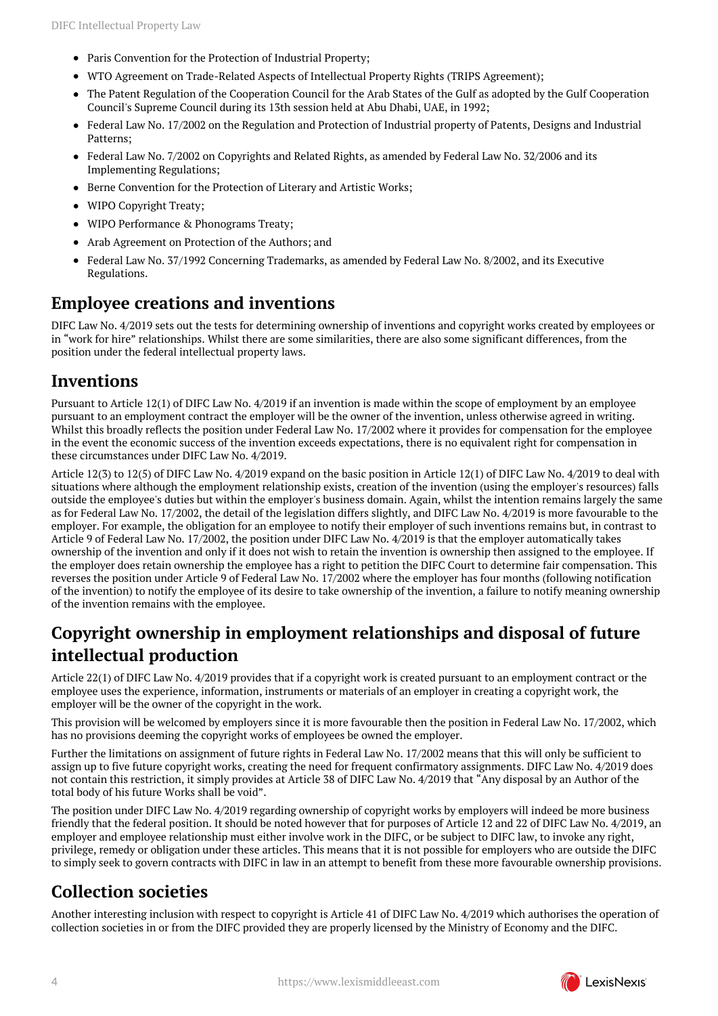- Paris Convention for the Protection of Industrial Property;
- WTO Agreement on Trade-Related Aspects of Intellectual Property Rights (TRIPS Agreement);
- The Patent Regulation of the Cooperation Council for the Arab States of the Gulf as adopted by the Gulf Cooperation Council's Supreme Council during its 13th session held at Abu Dhabi, UAE, in 1992;
- Federal Law No. 17/2002 on the Regulation and Protection of Industrial property of Patents, Designs and Industrial Patterns;
- $\bullet$ Federal Law No. 7/2002 on Copyrights and Related Rights, as amended by Federal Law No. 32/2006 and its Implementing Regulations;
- Berne Convention for the Protection of Literary and Artistic Works;  $\bullet$
- $\bullet$ WIPO Copyright Treaty;
- WIPO Performance & Phonograms Treaty;
- Arab Agreement on Protection of the Authors; and  $\bullet$
- Federal Law No. 37/1992 Concerning Trademarks, as amended by Federal Law No. 8/2002, and its Executive Regulations.

#### <span id="page-3-0"></span>**Employee creations and inventions**

DIFC Law No. 4/2019 sets out the tests for determining ownership of inventions and copyright works created by employees or in "work for hire" relationships. Whilst there are some similarities, there are also some significant differences, from the position under the federal intellectual property laws.

#### <span id="page-3-1"></span>**Inventions**

Pursuant to Article 12(1) of DIFC Law No. 4/2019 if an invention is made within the scope of employment by an employee pursuant to an employment contract the employer will be the owner of the invention, unless otherwise agreed in writing. Whilst this broadly reflects the position under Federal Law No. 17/2002 where it provides for compensation for the employee in the event the economic success of the invention exceeds expectations, there is no equivalent right for compensation in these circumstances under DIFC Law No. 4/2019.

Article 12(3) to 12(5) of DIFC Law No. 4/2019 expand on the basic position in Article 12(1) of DIFC Law No. 4/2019 to deal with situations where although the employment relationship exists, creation of the invention (using the employer's resources) falls outside the employee's duties but within the employer's business domain. Again, whilst the intention remains largely the same as for Federal Law No. 17/2002, the detail of the legislation differs slightly, and DIFC Law No. 4/2019 is more favourable to the employer. For example, the obligation for an employee to notify their employer of such inventions remains but, in contrast to Article 9 of Federal Law No. 17/2002, the position under DIFC Law No. 4/2019 is that the employer automatically takes ownership of the invention and only if it does not wish to retain the invention is ownership then assigned to the employee. If the employer does retain ownership the employee has a right to petition the DIFC Court to determine fair compensation. This reverses the position under Article 9 of Federal Law No. 17/2002 where the employer has four months (following notification of the invention) to notify the employee of its desire to take ownership of the invention, a failure to notify meaning ownership of the invention remains with the employee.

# <span id="page-3-2"></span>**Copyright ownership in employment relationships and disposal of future intellectual production**

Article 22(1) of DIFC Law No. 4/2019 provides that if a copyright work is created pursuant to an employment contract or the employee uses the experience, information, instruments or materials of an employer in creating a copyright work, the employer will be the owner of the copyright in the work.

This provision will be welcomed by employers since it is more favourable then the position in Federal Law No. 17/2002, which has no provisions deeming the copyright works of employees be owned the employer.

Further the limitations on assignment of future rights in Federal Law No. 17/2002 means that this will only be sufficient to assign up to five future copyright works, creating the need for frequent confirmatory assignments. DIFC Law No. 4/2019 does not contain this restriction, it simply provides at Article 38 of DIFC Law No. 4/2019 that "Any disposal by an Author of the total body of his future Works shall be void".

The position under DIFC Law No. 4/2019 regarding ownership of copyright works by employers will indeed be more business friendly that the federal position. It should be noted however that for purposes of Article 12 and 22 of DIFC Law No. 4/2019, an employer and employee relationship must either involve work in the DIFC, or be subject to DIFC law, to invoke any right, privilege, remedy or obligation under these articles. This means that it is not possible for employers who are outside the DIFC to simply seek to govern contracts with DIFC in law in an attempt to benefit from these more favourable ownership provisions.

#### <span id="page-3-3"></span>**Collection societies**

<span id="page-3-4"></span>Another interesting inclusion with respect to copyright is Article 41 of DIFC Law No. 4/2019 which authorises the operation of collection societies in or from the DIFC provided they are properly licensed by the Ministry of Economy and the DIFC.

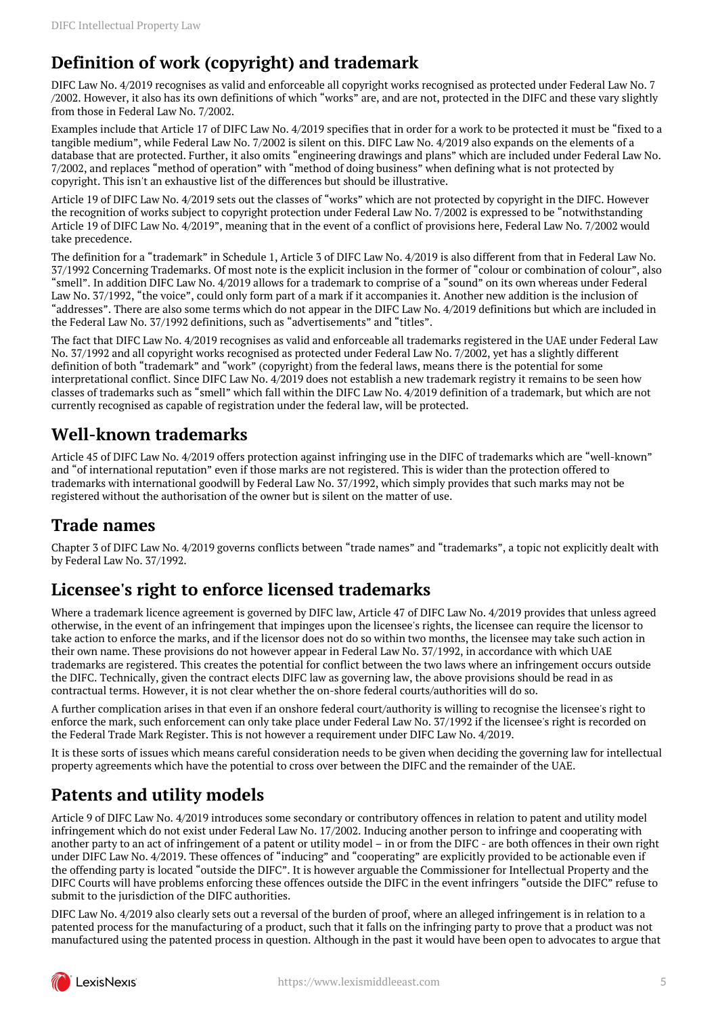# **Definition of work (copyright) and trademark**

DIFC Law No. 4/2019 recognises as valid and enforceable all copyright works recognised as protected under Federal Law No. 7 /2002. However, it also has its own definitions of which "works" are, and are not, protected in the DIFC and these vary slightly from those in Federal Law No. 7/2002.

Examples include that Article 17 of DIFC Law No. 4/2019 specifies that in order for a work to be protected it must be "fixed to a tangible medium", while Federal Law No. 7/2002 is silent on this. DIFC Law No. 4/2019 also expands on the elements of a database that are protected. Further, it also omits "engineering drawings and plans" which are included under Federal Law No. 7/2002, and replaces "method of operation" with "method of doing business" when defining what is not protected by copyright. This isn't an exhaustive list of the differences but should be illustrative.

Article 19 of DIFC Law No. 4/2019 sets out the classes of "works" which are not protected by copyright in the DIFC. However the recognition of works subject to copyright protection under Federal Law No. 7/2002 is expressed to be "notwithstanding Article 19 of DIFC Law No. 4/2019", meaning that in the event of a conflict of provisions here, Federal Law No. 7/2002 would take precedence.

The definition for a "trademark" in Schedule 1, Article 3 of DIFC Law No. 4/2019 is also different from that in Federal Law No. 37/1992 Concerning Trademarks. Of most note is the explicit inclusion in the former of "colour or combination of colour", also "smell". In addition DIFC Law No. 4/2019 allows for a trademark to comprise of a "sound" on its own whereas under Federal Law No. 37/1992, "the voice", could only form part of a mark if it accompanies it. Another new addition is the inclusion of "addresses". There are also some terms which do not appear in the DIFC Law No. 4/2019 definitions but which are included in the Federal Law No. 37/1992 definitions, such as "advertisements" and "titles".

The fact that DIFC Law No. 4/2019 recognises as valid and enforceable all trademarks registered in the UAE under Federal Law No. 37/1992 and all copyright works recognised as protected under Federal Law No. 7/2002, yet has a slightly different definition of both "trademark" and "work" (copyright) from the federal laws, means there is the potential for some interpretational conflict. Since DIFC Law No. 4/2019 does not establish a new trademark registry it remains to be seen how classes of trademarks such as "smell" which fall within the DIFC Law No. 4/2019 definition of a trademark, but which are not currently recognised as capable of registration under the federal law, will be protected.

# <span id="page-4-0"></span>**Well-known trademarks**

Article 45 of DIFC Law No. 4/2019 offers protection against infringing use in the DIFC of trademarks which are "well-known" and "of international reputation" even if those marks are not registered. This is wider than the protection offered to trademarks with international goodwill by Federal Law No. 37/1992, which simply provides that such marks may not be registered without the authorisation of the owner but is silent on the matter of use.

### <span id="page-4-1"></span>**Trade names**

Chapter 3 of DIFC Law No. 4/2019 governs conflicts between "trade names" and "trademarks", a topic not explicitly dealt with by Federal Law No. 37/1992.

# <span id="page-4-2"></span>**Licensee's right to enforce licensed trademarks**

Where a trademark licence agreement is governed by DIFC law, Article 47 of DIFC Law No. 4/2019 provides that unless agreed otherwise, in the event of an infringement that impinges upon the licensee's rights, the licensee can require the licensor to take action to enforce the marks, and if the licensor does not do so within two months, the licensee may take such action in their own name. These provisions do not however appear in Federal Law No. 37/1992, in accordance with which UAE trademarks are registered. This creates the potential for conflict between the two laws where an infringement occurs outside the DIFC. Technically, given the contract elects DIFC law as governing law, the above provisions should be read in as contractual terms. However, it is not clear whether the on-shore federal courts/authorities will do so.

A further complication arises in that even if an onshore federal court/authority is willing to recognise the licensee's right to enforce the mark, such enforcement can only take place under Federal Law No. 37/1992 if the licensee's right is recorded on the Federal Trade Mark Register. This is not however a requirement under DIFC Law No. 4/2019.

It is these sorts of issues which means careful consideration needs to be given when deciding the governing law for intellectual property agreements which have the potential to cross over between the DIFC and the remainder of the UAE.

# <span id="page-4-3"></span>**Patents and utility models**

Article 9 of DIFC Law No. 4/2019 introduces some secondary or contributory offences in relation to patent and utility model infringement which do not exist under Federal Law No. 17/2002. Inducing another person to infringe and cooperating with another party to an act of infringement of a patent or utility model – in or from the DIFC - are both offences in their own right under DIFC Law No. 4/2019. These offences of "inducing" and "cooperating" are explicitly provided to be actionable even if the offending party is located "outside the DIFC". It is however arguable the Commissioner for Intellectual Property and the DIFC Courts will have problems enforcing these offences outside the DIFC in the event infringers "outside the DIFC" refuse to submit to the jurisdiction of the DIFC authorities.

DIFC Law No. 4/2019 also clearly sets out a reversal of the burden of proof, where an alleged infringement is in relation to a patented process for the manufacturing of a product, such that it falls on the infringing party to prove that a product was not manufactured using the patented process in question. Although in the past it would have been open to advocates to argue that

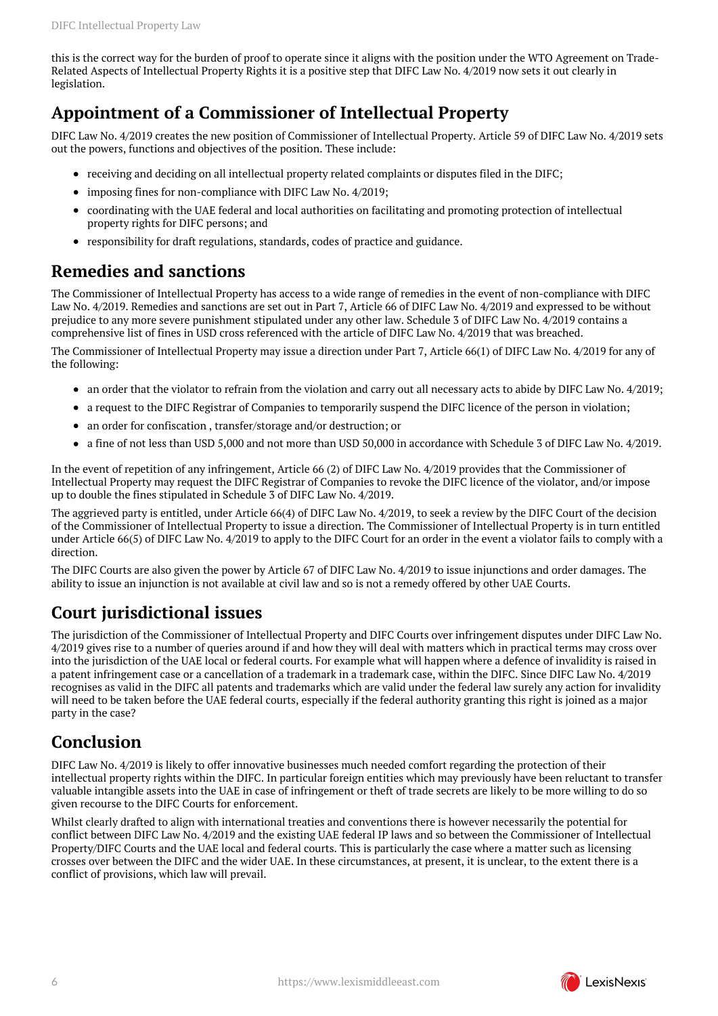this is the correct way for the burden of proof to operate since it aligns with the position under the WTO Agreement on Trade-Related Aspects of Intellectual Property Rights it is a positive step that DIFC Law No. 4/2019 now sets it out clearly in legislation.

#### <span id="page-5-0"></span>**Appointment of a Commissioner of Intellectual Property**

DIFC Law No. 4/2019 creates the new position of Commissioner of Intellectual Property. Article 59 of DIFC Law No. 4/2019 sets out the powers, functions and objectives of the position. These include:

- receiving and deciding on all intellectual property related complaints or disputes filed in the DIFC;
- imposing fines for non-compliance with DIFC Law No. 4/2019;
- coordinating with the UAE federal and local authorities on facilitating and promoting protection of intellectual property rights for DIFC persons; and
- responsibility for draft regulations, standards, codes of practice and guidance.

#### <span id="page-5-1"></span>**Remedies and sanctions**

The Commissioner of Intellectual Property has access to a wide range of remedies in the event of non-compliance with DIFC Law No. 4/2019. Remedies and sanctions are set out in Part 7, Article 66 of DIFC Law No. 4/2019 and expressed to be without prejudice to any more severe punishment stipulated under any other law. Schedule 3 of DIFC Law No. 4/2019 contains a comprehensive list of fines in USD cross referenced with the article of DIFC Law No. 4/2019 that was breached.

The Commissioner of Intellectual Property may issue a direction under Part 7, Article 66(1) of DIFC Law No. 4/2019 for any of the following:

- an order that the violator to refrain from the violation and carry out all necessary acts to abide by DIFC Law No. 4/2019;
- a request to the DIFC Registrar of Companies to temporarily suspend the DIFC licence of the person in violation;
- an order for confiscation, transfer/storage and/or destruction; or
- a fine of not less than USD 5,000 and not more than USD 50,000 in accordance with Schedule 3 of DIFC Law No. 4/2019.

In the event of repetition of any infringement, Article 66 (2) of DIFC Law No. 4/2019 provides that the Commissioner of Intellectual Property may request the DIFC Registrar of Companies to revoke the DIFC licence of the violator, and/or impose up to double the fines stipulated in Schedule 3 of DIFC Law No. 4/2019.

The aggrieved party is entitled, under Article 66(4) of DIFC Law No. 4/2019, to seek a review by the DIFC Court of the decision of the Commissioner of Intellectual Property to issue a direction. The Commissioner of Intellectual Property is in turn entitled under Article 66(5) of DIFC Law No. 4/2019 to apply to the DIFC Court for an order in the event a violator fails to comply with a direction.

The DIFC Courts are also given the power by Article 67 of DIFC Law No. 4/2019 to issue injunctions and order damages. The ability to issue an injunction is not available at civil law and so is not a remedy offered by other UAE Courts.

# <span id="page-5-2"></span>**Court jurisdictional issues**

The jurisdiction of the Commissioner of Intellectual Property and DIFC Courts over infringement disputes under DIFC Law No. 4/2019 gives rise to a number of queries around if and how they will deal with matters which in practical terms may cross over into the jurisdiction of the UAE local or federal courts. For example what will happen where a defence of invalidity is raised in a patent infringement case or a cancellation of a trademark in a trademark case, within the DIFC. Since DIFC Law No. 4/2019 recognises as valid in the DIFC all patents and trademarks which are valid under the federal law surely any action for invalidity will need to be taken before the UAE federal courts, especially if the federal authority granting this right is joined as a major party in the case?

### <span id="page-5-3"></span>**Conclusion**

DIFC Law No. 4/2019 is likely to offer innovative businesses much needed comfort regarding the protection of their intellectual property rights within the DIFC. In particular foreign entities which may previously have been reluctant to transfer valuable intangible assets into the UAE in case of infringement or theft of trade secrets are likely to be more willing to do so given recourse to the DIFC Courts for enforcement.

Whilst clearly drafted to align with international treaties and conventions there is however necessarily the potential for conflict between DIFC Law No. 4/2019 and the existing UAE federal IP laws and so between the Commissioner of Intellectual Property/DIFC Courts and the UAE local and federal courts. This is particularly the case where a matter such as licensing crosses over between the DIFC and the wider UAE. In these circumstances, at present, it is unclear, to the extent there is a conflict of provisions, which law will prevail.